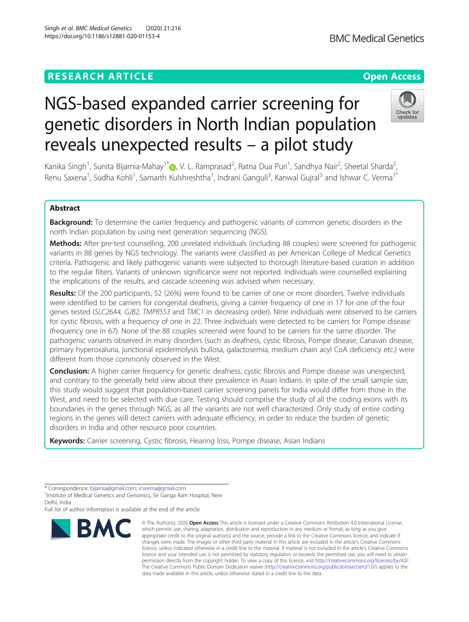# **RESEARCH ARTICLE Example 2014 12:30 The Contract of Contract ACCESS**

# NGS-based expanded carrier screening for genetic disorders in North Indian population reveals unexpected results – a pilot study

Kanika Singh<sup>1</sup>[,](http://orcid.org/0000-0002-5255-8212) Sunita Bijarnia-Mahay<sup>1\*</sup>@, V. L. Ramprasad<sup>2</sup>, Ratna Dua Puri<sup>1</sup>, Sandhya Nair<sup>2</sup>, Sheetal Sharda<sup>2</sup> , Renu Saxena<sup>1</sup>, Sudha Kohli<sup>1</sup>, Samarth Kulshreshtha<sup>1</sup>, Indrani Ganguli<sup>3</sup>, Kanwal Gujral<sup>3</sup> and Ishwar C. Verma<sup>1\*</sup>

# Abstract

Background: To determine the carrier frequency and pathogenic variants of common genetic disorders in the north Indian population by using next generation sequencing (NGS).

Methods: After pre-test counselling, 200 unrelated individuals (including 88 couples) were screened for pathogenic variants in 88 genes by NGS technology. The variants were classified as per American College of Medical Genetics criteria. Pathogenic and likely pathogenic variants were subjected to thorough literature-based curation in addition to the regular filters. Variants of unknown significance were not reported. Individuals were counselled explaining the implications of the results, and cascade screening was advised when necessary.

Results: Of the 200 participants, 52 (26%) were found to be carrier of one or more disorders. Twelve individuals were identified to be carriers for congenital deafness, giving a carrier frequency of one in 17 for one of the four genes tested (SLC26A4, GJB2, TMPRSS3 and TMC1 in decreasing order). Nine individuals were observed to be carriers for cystic fibrosis, with a frequency of one in 22. Three individuals were detected to be carriers for Pompe disease (frequency one in 67). None of the 88 couples screened were found to be carriers for the same disorder. The pathogenic variants observed in many disorders (such as deafness, cystic fibrosis, Pompe disease, Canavan disease, primary hyperoxaluria, junctional epidermolysis bullosa, galactosemia, medium chain acyl CoA deficiency etc.) were different from those commonly observed in the West.

**Conclusion:** A higher carrier frequency for genetic deafness, cystic fibrosis and Pompe disease was unexpected, and contrary to the generally held view about their prevalence in Asian Indians. In spite of the small sample size, this study would suggest that population-based carrier screening panels for India would differ from those in the West, and need to be selected with due care. Testing should comprise the study of all the coding exons with its boundaries in the genes through NGS, as all the variants are not well characterized. Only study of entire coding regions in the genes will detect carriers with adequate efficiency, in order to reduce the burden of genetic disorders in India and other resource poor countries.

Keywords: Carrier screening, Cystic fibrosis, Hearing loss, Pompe disease, Asian Indians

**BMC** 

<sup>1</sup> Institute of Medical Genetics and Genomics, Sir Ganga Ram Hospital, New Delhi, India

Full list of author information is available at the end of the article

© The Author(s), 2020 **Open Access** This article is licensed under a Creative Commons Attribution 4.0 International License,







<sup>\*</sup> Correspondence: [bijarnia@gmail.com;](mailto:bijarnia@gmail.com) [icverma@gmail.com](mailto:icverma@gmail.com) <sup>1</sup>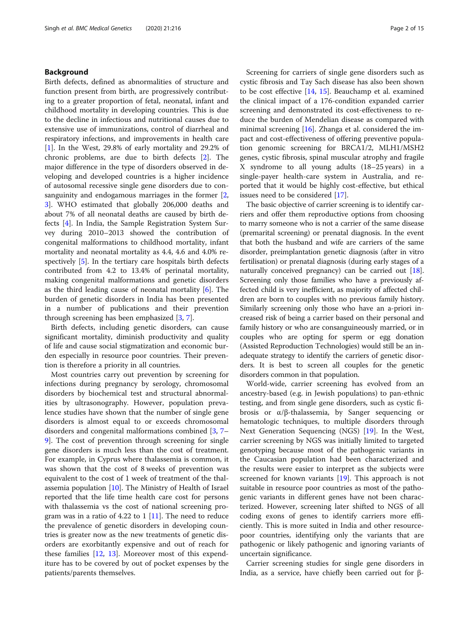# Background

Birth defects, defined as abnormalities of structure and function present from birth, are progressively contributing to a greater proportion of fetal, neonatal, infant and childhood mortality in developing countries. This is due to the decline in infectious and nutritional causes due to extensive use of immunizations, control of diarrheal and respiratory infections, and improvements in health care [[1\]](#page-12-0). In the West, 29.8% of early mortality and 29.2% of chronic problems, are due to birth defects [[2\]](#page-12-0). The major difference in the type of disorders observed in developing and developed countries is a higher incidence of autosomal recessive single gene disorders due to consanguinity and endogamous marriages in the former [\[2](#page-12-0), [3\]](#page-12-0). WHO estimated that globally 206,000 deaths and about 7% of all neonatal deaths are caused by birth defects [\[4](#page-12-0)]. In India, the Sample Registration System Survey during 2010–2013 showed the contribution of congenital malformations to childhood mortality, infant mortality and neonatal mortality as 4.4, 4.6 and 4.0% respectively [[5\]](#page-12-0). In the tertiary care hospitals birth defects contributed from 4.2 to 13.4% of perinatal mortality, making congenital malformations and genetic disorders as the third leading cause of neonatal mortality [[6](#page-12-0)]. The burden of genetic disorders in India has been presented in a number of publications and their prevention through screening has been emphasized [[3](#page-12-0), [7](#page-12-0)].

Birth defects, including genetic disorders, can cause significant mortality, diminish productivity and quality of life and cause social stigmatization and economic burden especially in resource poor countries. Their prevention is therefore a priority in all countries.

Most countries carry out prevention by screening for infections during pregnancy by serology, chromosomal disorders by biochemical test and structural abnormalities by ultrasonography. However, population prevalence studies have shown that the number of single gene disorders is almost equal to or exceeds chromosomal disorders and congenital malformations combined [[3,](#page-12-0) [7](#page-12-0)– [9\]](#page-12-0). The cost of prevention through screening for single gene disorders is much less than the cost of treatment. For example, in Cyprus where thalassemia is common, it was shown that the cost of 8 weeks of prevention was equivalent to the cost of 1 week of treatment of the thalassemia population [\[10](#page-12-0)]. The Ministry of Health of Israel reported that the life time health care cost for persons with thalassemia vs the cost of national screening program was in a ratio of 4.22 to 1  $[11]$ . The need to reduce the prevalence of genetic disorders in developing countries is greater now as the new treatments of genetic disorders are exorbitantly expensive and out of reach for these families [\[12,](#page-12-0) [13](#page-12-0)]. Moreover most of this expenditure has to be covered by out of pocket expenses by the patients/parents themselves.

Screening for carriers of single gene disorders such as cystic fibrosis and Tay Sach disease has also been shown to be cost effective  $[14, 15]$  $[14, 15]$  $[14, 15]$  $[14, 15]$ . Beauchamp et al. examined the clinical impact of a 176-condition expanded carrier screening and demonstrated its cost-effectiveness to reduce the burden of Mendelian disease as compared with minimal screening [[16](#page-12-0)]. Zhanga et al. considered the impact and cost-effectiveness of offering preventive population genomic screening for BRCA1/2, MLH1/MSH2 genes, cystic fibrosis, spinal muscular atrophy and fragile X syndrome to all young adults (18–25 years) in a single-payer health-care system in Australia, and reported that it would be highly cost-effective, but ethical issues need to be considered [[17](#page-12-0)].

The basic objective of carrier screening is to identify carriers and offer them reproductive options from choosing to marry someone who is not a carrier of the same disease (premarital screening) or prenatal diagnosis. In the event that both the husband and wife are carriers of the same disorder, preimplantation genetic diagnosis (after in vitro fertilisation) or prenatal diagnosis (during early stages of a naturally conceived pregnancy) can be carried out [[18](#page-12-0)]. Screening only those families who have a previously affected child is very inefficient, as majority of affected children are born to couples with no previous family history. Similarly screening only those who have an a-priori increased risk of being a carrier based on their personal and family history or who are consanguineously married, or in couples who are opting for sperm or egg donation (Assisted Reproduction Technologies) would still be an inadequate strategy to identify the carriers of genetic disorders. It is best to screen all couples for the genetic disorders common in that population.

World-wide, carrier screening has evolved from an ancestry-based (e.g. in Jewish populations) to pan-ethnic testing, and from single gene disorders, such as cystic fibrosis or α/β-thalassemia, by Sanger sequencing or hematologic techniques, to multiple disorders through Next Generation Sequencing (NGS) [[19\]](#page-12-0). In the West, carrier screening by NGS was initially limited to targeted genotyping because most of the pathogenic variants in the Caucasian population had been characterized and the results were easier to interpret as the subjects were screened for known variants [\[19\]](#page-12-0). This approach is not suitable in resource poor countries as most of the pathogenic variants in different genes have not been characterized. However, screening later shifted to NGS of all coding exons of genes to identify carriers more efficiently. This is more suited in India and other resourcepoor countries, identifying only the variants that are pathogenic or likely pathogenic and ignoring variants of uncertain significance.

Carrier screening studies for single gene disorders in India, as a service, have chiefly been carried out for  $β$ -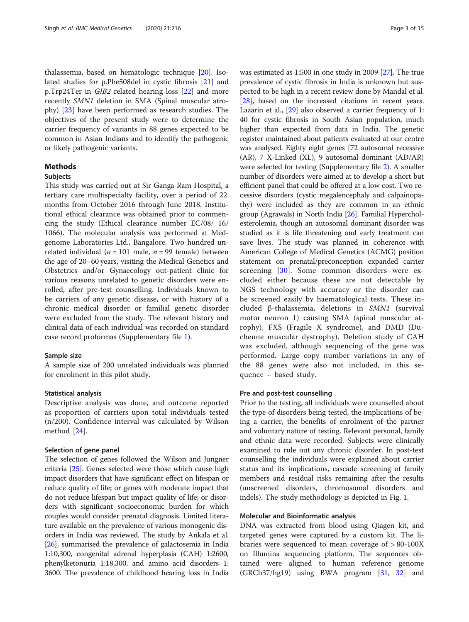thalassemia, based on hematologic technique [\[20\]](#page-12-0). Isolated studies for p.Phe508del in cystic fibrosis [\[21](#page-12-0)] and p.Trp24Ter in GJB2 related hearing loss [\[22](#page-12-0)] and more recently SMN1 deletion in SMA (Spinal muscular atrophy) [[23\]](#page-12-0) have been performed as research studies. The objectives of the present study were to determine the carrier frequency of variants in 88 genes expected to be common in Asian Indians and to identify the pathogenic or likely pathogenic variants.

# Methods

# Subjects

This study was carried out at Sir Ganga Ram Hospital, a tertiary care multispecialty facility, over a period of 22 months from October 2016 through June 2018. Institutional ethical clearance was obtained prior to commencing the study (Ethical clearance number EC/08/ 16/ 1066). The molecular analysis was performed at Medgenome Laboratories Ltd., Bangalore. Two hundred unrelated individual ( $n = 101$  male,  $n = 99$  female) between the age of 20–60 years, visiting the Medical Genetics and Obstetrics and/or Gynaecology out-patient clinic for various reasons unrelated to genetic disorders were enrolled, after pre-test counselling. Individuals known to be carriers of any genetic disease, or with history of a chronic medical disorder or familial genetic disorder were excluded from the study. The relevant history and clinical data of each individual was recorded on standard case record proformas (Supplementary file [1\)](#page-11-0).

### Sample size

A sample size of 200 unrelated individuals was planned for enrolment in this pilot study.

# Statistical analysis

Descriptive analysis was done, and outcome reported as proportion of carriers upon total individuals tested (n/200). Confidence interval was calculated by Wilson method [[24\]](#page-12-0).

#### Selection of gene panel

The selection of genes followed the Wilson and Jungner criteria [\[25\]](#page-12-0). Genes selected were those which cause high impact disorders that have significant effect on lifespan or reduce quality of life; or genes with moderate impact that do not reduce lifespan but impact quality of life; or disorders with significant socioeconomic burden for which couples would consider prenatal diagnosis. Limited literature available on the prevalence of various monogenic disorders in India was reviewed. The study by Ankala et al. [[26](#page-12-0)], summarised the prevalence of galactosemia in India 1:10,300, congenital adrenal hyperplasia (CAH) 1:2600, phenylketonuria 1:18,300, and amino acid disorders 1: 3600. The prevalence of childhood hearing loss in India was estimated as 1:500 in one study in 2009 [\[27\]](#page-12-0). The true prevalence of cystic fibrosis in India is unknown but suspected to be high in a recent review done by Mandal et al. [[28](#page-12-0)], based on the increased citations in recent years. Lazarin et al., [\[29\]](#page-12-0) also observed a carrier frequency of 1: 40 for cystic fibrosis in South Asian population, much higher than expected from data in India. The genetic register maintained about patients evaluated at our centre was analysed. Eighty eight genes [72 autosomal recessive (AR), 7 X-Linked (XL), 9 autosomal dominant (AD/AR) were selected for testing (Supplementary file [2\)](#page-11-0). A smaller number of disorders were aimed at to develop a short but efficient panel that could be offered at a low cost. Two recessive disorders (cystic megalencephaly and calpainopathy) were included as they are common in an ethnic group (Agrawals) in North India [\[26\]](#page-12-0). Familial Hypercholesterolemia, though an autosomal dominant disorder was studied as it is life threatening and early treatment can save lives. The study was planned in coherence with American College of Medical Genetics (ACMG) position statement on prenatal/preconception expanded carrier screening [\[30\]](#page-12-0). Some common disorders were excluded either because these are not detectable by NGS technology with accuracy or the disorder can be screened easily by haematological tests. These included <sup>β</sup>-thalassemia, deletions in SMN1 (survival motor neuron 1) causing SMA (spinal muscular atrophy), FXS (Fragile X syndrome), and DMD (Duchenne muscular dystrophy). Deletion study of CAH was excluded, although sequencing of the gene was performed. Large copy number variations in any of the 88 genes were also not included, in this sequence – based study.

# Pre and post-test counselling

Prior to the testing, all individuals were counselled about the type of disorders being tested, the implications of being a carrier, the benefits of enrolment of the partner and voluntary nature of testing. Relevant personal, family and ethnic data were recorded. Subjects were clinically examined to rule out any chronic disorder. In post-test counselling the individuals were explained about carrier status and its implications, cascade screening of family members and residual risks remaining after the results (unscreened disorders, chromosomal disorders and indels). The study methodology is depicted in Fig. [1](#page-3-0).

# Molecular and Bioinformatic analysis

DNA was extracted from blood using Qiagen kit, and targeted genes were captured by a custom kit. The libraries were sequenced to mean coverage of > 80-100X on Illumina sequencing platform. The sequences obtained were aligned to human reference genome (GRCh37/hg19) using BWA program [\[31,](#page-12-0) [32\]](#page-12-0) and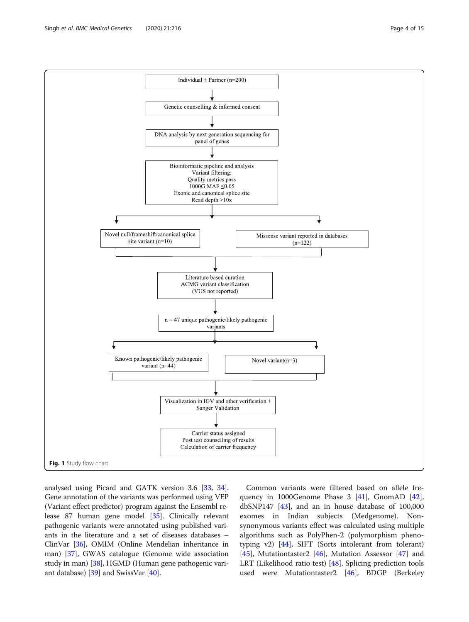analysed using Picard and GATK version 3.6 [[33](#page-12-0), [34](#page-12-0)]. Gene annotation of the variants was performed using VEP (Variant effect predictor) program against the Ensembl release 87 human gene model [\[35](#page-12-0)]. Clinically relevant pathogenic variants were annotated using published variants in the literature and a set of diseases databases – ClinVar [\[36\]](#page-12-0), OMIM (Online Mendelian inheritance in man) [\[37](#page-12-0)], GWAS catalogue (Genome wide association study in man) [[38](#page-12-0)], HGMD (Human gene pathogenic variant database) [\[39\]](#page-12-0) and SwissVar [[40](#page-12-0)].

Common variants were filtered based on allele frequency in 1000Genome Phase 3 [\[41](#page-12-0)], GnomAD [\[42](#page-12-0)], dbSNP147  $[43]$ , and an in house database of 100,000 exomes in Indian subjects (Medgenome). Nonsynonymous variants effect was calculated using multiple algorithms such as PolyPhen-2 (polymorphism phenotyping v2) [\[44\]](#page-13-0), SIFT (Sorts intolerant from tolerant) [[45\]](#page-13-0), Mutationtaster2 [[46\]](#page-13-0), Mutation Assessor [\[47\]](#page-13-0) and LRT (Likelihood ratio test) [[48\]](#page-13-0). Splicing prediction tools used were Mutationtaster2 [[46](#page-13-0)], BDGP (Berkeley

<span id="page-3-0"></span>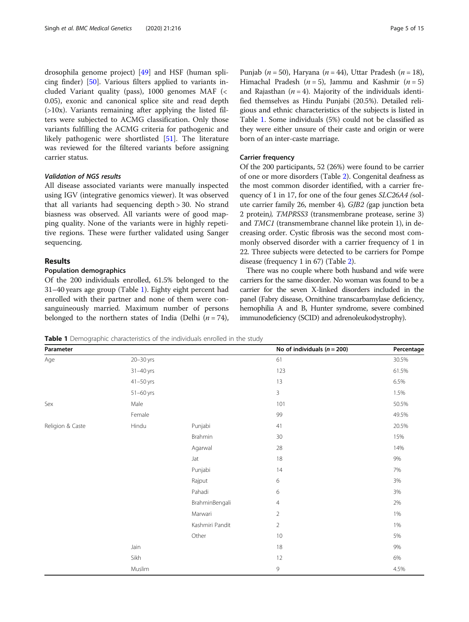drosophila genome project) [[49\]](#page-13-0) and HSF (human splicing finder) [\[50\]](#page-13-0). Various filters applied to variants included Variant quality (pass), 1000 genomes MAF (< 0.05), exonic and canonical splice site and read depth (>10x). Variants remaining after applying the listed filters were subjected to ACMG classification. Only those variants fulfilling the ACMG criteria for pathogenic and likely pathogenic were shortlisted [[51](#page-13-0)]. The literature was reviewed for the filtered variants before assigning carrier status.

# Validation of NGS results

All disease associated variants were manually inspected using IGV (integrative genomics viewer). It was observed that all variants had sequencing depth > 30. No strand biasness was observed. All variants were of good mapping quality. None of the variants were in highly repetitive regions. These were further validated using Sanger sequencing.

# Results

# Population demographics

Of the 200 individuals enrolled, 61.5% belonged to the 31–40 years age group (Table 1). Eighty eight percent had enrolled with their partner and none of them were consanguineously married. Maximum number of persons belonged to the northern states of India (Delhi  $(n = 74)$ ,

Punjab ( $n = 50$ ), Haryana ( $n = 44$ ), Uttar Pradesh ( $n = 18$ ),

Himachal Pradesh ( $n = 5$ ), Jammu and Kashmir ( $n = 5$ ) and Rajasthan ( $n = 4$ ). Majority of the individuals identified themselves as Hindu Punjabi (20.5%). Detailed religious and ethnic characteristics of the subjects is listed in Table 1. Some individuals (5%) could not be classified as they were either unsure of their caste and origin or were born of an inter-caste marriage.

# Carrier frequency

Of the 200 participants, 52 (26%) were found to be carrier of one or more disorders (Table [2](#page-5-0)). Congenital deafness as the most common disorder identified, with a carrier frequency of 1 in 17, for one of the four genes SLC26A4 (solute carrier family 26, member 4), GJB2 (gap junction beta 2 protein), TMPRSS3 (transmembrane protease, serine 3) and TMC1 (transmembrane channel like protein 1), in decreasing order. Cystic fibrosis was the second most commonly observed disorder with a carrier frequency of 1 in 22. Three subjects were detected to be carriers for Pompe disease (frequency 1 in 67) (Table [2\)](#page-5-0).

There was no couple where both husband and wife were carriers for the same disorder. No woman was found to be a carrier for the seven X-linked disorders included in the panel (Fabry disease, Ornithine transcarbamylase deficiency, hemophilia A and B, Hunter syndrome, severe combined immunodeficiency (SCID) and adrenoleukodystrophy).

Table 1 Demographic characteristics of the individuals enrolled in the study

|               |                 | No of individuals $(n = 200)$ | Percentage |
|---------------|-----------------|-------------------------------|------------|
| 20-30 yrs     |                 | 61                            | 30.5%      |
| 31-40 yrs     |                 | 123                           | 61.5%      |
| $41 - 50$ yrs |                 | 13                            | 6.5%       |
| 51-60 yrs     |                 | $\mathsf 3$                   | 1.5%       |
| Male          |                 | 101                           | 50.5%      |
| Female        |                 | 99                            | 49.5%      |
| Hindu         | Punjabi         | 41                            | 20.5%      |
|               | Brahmin         | 30                            | 15%        |
|               | Agarwal         | 28                            | 14%        |
|               | Jat             | 18                            | $9\%$      |
|               | Punjabi         | 14                            | 7%         |
|               | Rajput          | 6                             | 3%         |
|               | Pahadi          | 6                             | 3%         |
|               | BrahminBengali  | $\overline{4}$                | 2%         |
|               | Marwari         | $\sqrt{2}$                    | 1%         |
|               | Kashmiri Pandit | $\overline{2}$                | 1%         |
|               | Other           | 10                            | 5%         |
| Jain          |                 | 18                            | $9\%$      |
| Sikh          |                 | 12                            | $6\%$      |
| Muslim        |                 | 9                             | 4.5%       |
|               |                 |                               |            |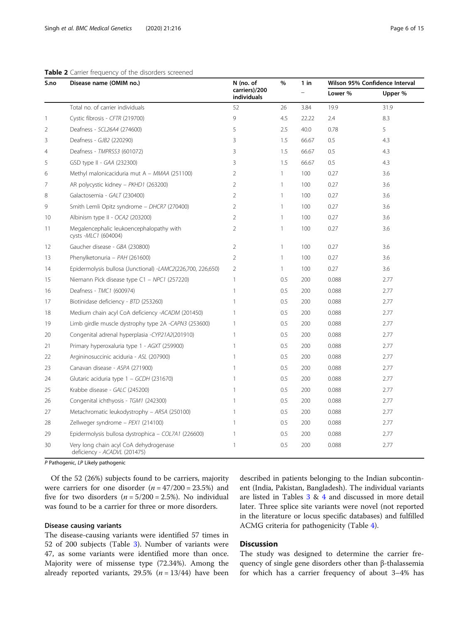<span id="page-5-0"></span>

| S.no | Disease name (OMIM no.)                                          | N (no. of                    | %            | $1$ in |         | Wilson 95% Confidence Interval |
|------|------------------------------------------------------------------|------------------------------|--------------|--------|---------|--------------------------------|
|      |                                                                  | carriers)/200<br>individuals |              |        | Lower % | Upper %                        |
|      | Total no. of carrier individuals                                 | 52                           | 26           | 3.84   | 19.9    | 31.9                           |
| 1    | Cystic fibrosis - CFTR (219700)                                  | 9                            | 4.5          | 22.22  | 2.4     | 8.3                            |
| 2    | Deafness - SCL26A4 (274600)                                      | 5                            | 2.5          | 40.0   | 0.78    | 5                              |
| 3    | Deafness - GJB2 (220290)                                         | 3                            | 1.5          | 66.67  | 0.5     | 4.3                            |
| 4    | Deafness - TMPRSS3 (601072)                                      | 3                            | 1.5          | 66.67  | 0.5     | 4.3                            |
| 5    | GSD type II - GAA (232300)                                       | 3                            | 1.5          | 66.67  | 0.5     | 4.3                            |
| 6    | Methyl malonicaciduria mut A - MMAA (251100)                     | $\overline{2}$               | $\mathbf{1}$ | 100    | 0.27    | 3.6                            |
| 7    | AR polycystic kidney - PKHD1 (263200)                            | $\overline{2}$               | $\mathbf{1}$ | 100    | 0.27    | 3.6                            |
| 8    | Galactosemia - GALT (230400)                                     | $\overline{2}$               | $\mathbf{1}$ | 100    | 0.27    | 3.6                            |
| 9    | Smith Lemli Opitz syndrome - DHCR7 (270400)                      | $\overline{2}$               | 1            | 100    | 0.27    | 3.6                            |
| 10   | Albinism type II - OCA2 (203200)                                 | 2                            | $\mathbf{1}$ | 100    | 0.27    | 3.6                            |
| 11   | Megalencephalic leukoencephalopathy with<br>cysts -MLC1 (604004) | $\overline{2}$               | $\mathbf{1}$ | 100    | 0.27    | 3.6                            |
| 12   | Gaucher disease - GBA (230800)                                   | 2                            | 1            | 100    | 0.27    | 3.6                            |
| 13   | Phenylketonuria - PAH (261600)                                   | $\overline{2}$               | $\mathbf{1}$ | 100    | 0.27    | 3.6                            |
| 14   | Epidermolysis bullosa (Junctional) -LAMC2(226,700, 226,650)      | $\overline{2}$               | 1            | 100    | 0.27    | 3.6                            |
| 15   | Niemann Pick disease type C1 - NPC1 (257220)                     | $\mathbf{1}$                 | 0.5          | 200    | 0.088   | 2.77                           |
| 16   | Deafness - TMC1 (600974)                                         | $\mathbf{1}$                 | 0.5          | 200    | 0.088   | 2.77                           |
| 17   | Biotinidase deficiency - BTD (253260)                            | $\mathbf{1}$                 | 0.5          | 200    | 0.088   | 2.77                           |
| 18   | Medium chain acyl CoA deficiency -ACADM (201450)                 | $\mathbf{1}$                 | 0.5          | 200    | 0.088   | 2.77                           |
| 19   | Limb girdle muscle dystrophy type 2A -CAPN3 (253600)             | 1                            | 0.5          | 200    | 0.088   | 2.77                           |
| 20   | Congenital adrenal hyperplasia -CYP21A2(201910)                  | $\mathbf{1}$                 | 0.5          | 200    | 0.088   | 2.77                           |
| 21   | Primary hyperoxaluria type 1 - AGXT (259900)                     | 1                            | 0.5          | 200    | 0.088   | 2.77                           |
| 22   | Argininosuccinic aciduria - ASL (207900)                         | $\mathbf{1}$                 | 0.5          | 200    | 0.088   | 2.77                           |
| 23   | Canavan disease - ASPA (271900)                                  | 1                            | 0.5          | 200    | 0.088   | 2.77                           |
| 24   | Glutaric aciduria type 1 - GCDH (231670)                         | $\mathbf{1}$                 | 0.5          | 200    | 0.088   | 2.77                           |
| 25   | Krabbe disease - GALC (245200)                                   | $\mathbf{1}$                 | 0.5          | 200    | 0.088   | 2.77                           |
| 26   | Congenital ichthyosis - TGM1 (242300)                            | 1                            | 0.5          | 200    | 0.088   | 2.77                           |
| 27   | Metachromatic leukodystrophy - ARSA (250100)                     | $\mathbf{1}$                 | 0.5          | 200    | 0.088   | 2.77                           |
| 28   | Zellweger syndrome - PEX1 (214100)                               | $\mathbf{1}$                 | 0.5          | 200    | 0.088   | 2.77                           |
| 29   | Epidermolysis bullosa dystrophica - COL7A1 (226600)              | 1                            | 0.5          | 200    | 0.088   | 2.77                           |

P Pathogenic, LP Likely pathogenic

30 Very long chain acyl CoA dehydrogenase deficiency - ACADVL (201475)

Of the 52 (26%) subjects found to be carriers, majority were carriers for one disorder  $(n = 47/200 = 23.5%)$  and five for two disorders  $(n = 5/200 = 2.5\%)$ . No individual was found to be a carrier for three or more disorders.

# Disease causing variants

The disease-causing variants were identified 57 times in 52 of 200 subjects (Table [3](#page-6-0)). Number of variants were 47, as some variants were identified more than once. Majority were of missense type (72.34%). Among the already reported variants, 29.5% ( $n = 13/44$ ) have been described in patients belonging to the Indian subcontinent (India, Pakistan, Bangladesh). The individual variants are listed in Tables [3](#page-6-0) & [4](#page-7-0) and discussed in more detail later. Three splice site variants were novel (not reported in the literature or locus specific databases) and fulfilled ACMG criteria for pathogenicity (Table [4\)](#page-7-0).

1 0.5 200 0.088 2.77

# **Discussion**

The study was designed to determine the carrier frequency of single gene disorders other than β-thalassemia for which has a carrier frequency of about 3–4% has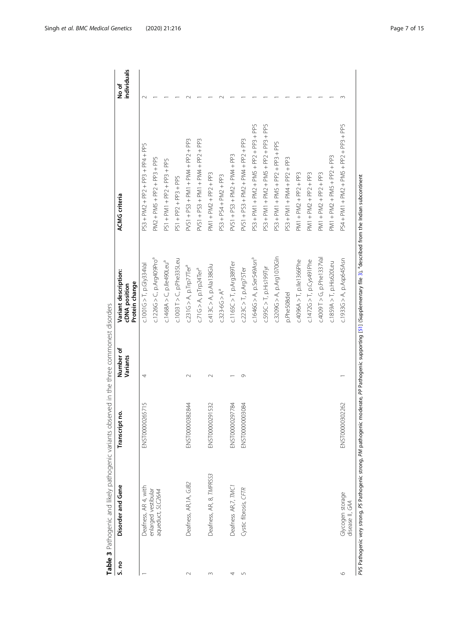<span id="page-6-0"></span>

| S. no   | Disorder and Gene                        | ġ<br>Transcript      | Number of<br>Variants | Variant description:<br>Protein change<br>cDNA position | <b>ACMG</b> criteria                    | individuals<br>No of |
|---------|------------------------------------------|----------------------|-----------------------|---------------------------------------------------------|-----------------------------------------|----------------------|
|         | Deafness, AR 4, with                     | :65715<br>ENST000002 | 4                     | $c.1001G > T$ , p. $G$ ly334Val                         | PS3 + PM2 + PP2 + PP3 + PP4 + PP5       |                      |
|         | enlarged vestibular<br>aqueduct, SLC26A4 |                      |                       | $c.1226G > C$ , p.Arg409Pro <sup>ª</sup>                | PM2 + PM5 + PP2 + PP3 + PP5             |                      |
|         |                                          |                      |                       | $c.1468A > C$ , p.lle490Leu <sup>a</sup>                | PS1 + PM1 + PP2 + PP3 + PP5             |                      |
|         |                                          |                      |                       | $c.1003T > C$ , p.Phe335Leu                             | PS1 + PP2 + PP3 + PP5                   |                      |
| $\sim$  | Deafness, AR, 1A, GJB2                   | 382844<br>ENST000003 | $\sim$                | $c.231G > A$ , p.Trp77Ter <sup>a</sup>                  | PVS1 + PS3 + PM1 + PM4 + PP2 + PP3      |                      |
|         |                                          |                      |                       | $c.71G > A$ , p.Trp24Ter <sup>a</sup>                   | PVS1 + PS3 + PM1 + PM4 + PP2 + PP3      |                      |
| $\sim$  | Deafness, AR, 8, TMPRSS3                 | 291532<br>ENSTO0002  |                       | $c.413C > A$ , $p.Ala138Glu$                            | $PM1 + PM2 + PP2 + PP3$                 |                      |
|         |                                          |                      |                       | $c.323-6G > Aa$                                         | PS3 + PS4 + PM2 + PP3                   |                      |
| 4       | Deafness AR,7, TMC1                      | 97784<br>ENST000002  |                       | $c.1165C > T$ , p.Arg389Ter                             | PVS1 + PS3 + PM2 + PM4 + PP3            |                      |
| 5       | Cystic fibrosis, CFTR                    | ENST00000003084      | Ō                     | $c.223C > T$ , p.Arg75Ter                               | PVS1 + PS3 + PM2 + PM4 + PP2 + PP3      |                      |
|         |                                          |                      |                       | $c.1646G > A$ , p.Ser549Asn <sup>a</sup>                | PS3 + PM1 + PM2 + PM5 + PP2 + PP3 + PP5 |                      |
|         |                                          |                      |                       | c.595C > T, p.His199Tyr                                 | PS3 + PM1 + PM2 + PM5 + PP2 + PP3 + PP5 |                      |
|         |                                          |                      |                       | c.3209G A, p.Arg1070G In                                | PS3 + PM1 + PM5 + PP2 + PP3 + PP5       |                      |
|         |                                          |                      |                       | p.Phe508del                                             | PS3 + PM1 + PM4 + PP2 + PP3             |                      |
|         |                                          |                      |                       | $c.4096A > T$ , p.lle1366Phe                            | $PM1 + PM2 + PP2 + PP3$                 |                      |
|         |                                          |                      |                       | $c.1472G > T$ , p.Cys491Phe                             | $PM1 + PM2 + PP2 + PP3$                 |                      |
|         |                                          |                      |                       | $c.4009$ T > G, p.Phe1337Val                            | $PM1 + PM2 + PP2 + PP3$                 |                      |
|         |                                          |                      |                       | $c.1859A > T$ , p.His620Leu                             | PM1 + PM2 + PM5 + PP2 + PP3             |                      |
| $\circ$ | Glycogen storage<br>disease II, GAA      | ENST00000302262      |                       | $c.1933G > A$ , p.Asp645Asn                             | PS4 + PM1 + PM2 + PM5 + PP2 + PP3 + PP5 |                      |
|         |                                          |                      |                       |                                                         |                                         |                      |

Table 3 Pathogenic and likely pathogenic variants observed in the three commonest disorders Table 3 Pathogenic and likely pathogenic variants observed in the three commonest disorders

PVS Pathogenic very strong, PS Pathogenic strong, PM pathogenic moderate, PP Pathogenic supporting [51] (Supplementary file 3), <sup>a</sup>described from the Indian subcontinent PVS Pathogenic very strong, PS Pathogenic strong, PM pathogenic moderate, PP Pathogenic supporting [[51](#page-13-0)] (Supplementary file [3](#page-11-0)), <sup>a</sup>described from the Indian subcontinent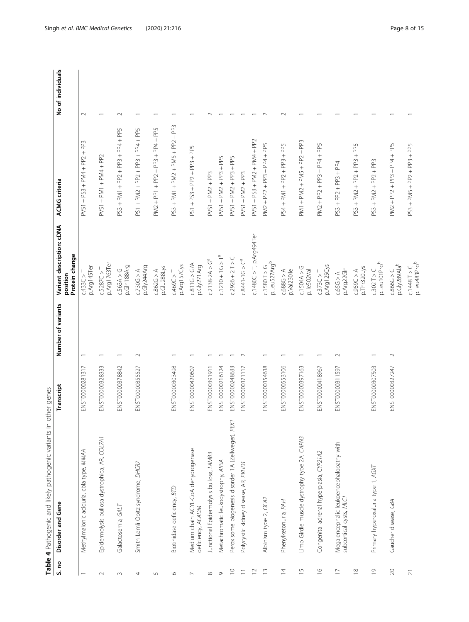Table 4 Pathogenic and likely pathogenic variants in other genes Table 4 Pathogenic and likely pathogenic variants in other genes

<span id="page-7-0"></span>

| S. no                    | Disorder and Gene                                                   | Transcript      | Number of variants | Variant description: cDNA<br>Protein change<br>position | ACMG criteria                                      | No of individuals |
|--------------------------|---------------------------------------------------------------------|-----------------|--------------------|---------------------------------------------------------|----------------------------------------------------|-------------------|
|                          | Methylmalonic aciduria, cbla type, MMAA                             | ENST00000281317 |                    | p.Arg145Ter<br>C.433C > T                               | PVS1 + PS3 + PM4 + PP2 + PP3                       | $\sim$            |
| $\sim$                   | Epidermolysis bullosa dystrophica, AR, COL7A1                       | ENST00000328333 |                    | p.Arg1763Ter<br>C.5287C > T                             | $-9\sqrt{51} + P\sqrt{11} + P\sqrt{4} + P\sqrt{2}$ |                   |
| 3                        | Galactosemia, GALT                                                  | ENST00000378842 |                    | p.Gln188Arg<br>c.563A > G                               | PS3 + PM1 + PP2 + PP3 + PP4 + PP5                  | $\sim$            |
| 4                        | Smith-Lemli-Opitz syndrome, DHCR7                                   | ENST00000355527 | $\sim$             | p.Gly244Arg<br>c.730G > A                               | PS1 + PM2 + PP2 + PP3 + PP4 + PP5                  |                   |
| $\mathsf{L}\cap$         |                                                                     |                 |                    | p.Glu288Lys<br>c.862G > A                               | PM2 + PP1 + PP2 + PP3 + PP4 + PP5                  |                   |
| $\circ$                  | Biotinidase deficiency, BTD                                         | ENST00000303498 |                    | p.Arg157Cys<br>C.469C > T                               | PS3 + PM1 + PM2 + PM5 + PP2 + PP3                  |                   |
| $\overline{\phantom{0}}$ | Medium chain ACYL-CoA dehydrogenase<br>deficiency, ACADM            | ENST00000420607 |                    | C.811G > G/A<br>p.Gly271Arg                             | PS1 + PS3 + PP2 + PP3 + PP5                        |                   |
| $\infty$                 | Junctional Epidermolysis bullosa, LAMB3                             | ENST00000391911 |                    | $C.2138 - 2A > Ga$                                      | $PVS1 + P M2 + P P3$                               |                   |
| Ò                        | Metachromatic leukodystrophy, ARSA                                  | ENST00000216124 |                    | $C.1210 + 1G > Ta$                                      | $PVS1 + P M2 + P P3 + P P5$                        |                   |
| $\supseteq$              | Peroxisome biogenesis disorder 1A (Zellweger), PEX1                 | ENST00000248633 |                    | $C.2926 + 2T > C$                                       | $PVS1 + P M2 + P P3 + P P5$                        |                   |
| Ξ                        | Polycystic kidney disease, AR, PKHD1                                | ENST00000371117 | $\sim$             | $C.8441 - 1G > Ca$                                      | $PVS1 + PMA2 + PP3$                                |                   |
| $\supseteq$              |                                                                     |                 |                    | $c.1480C > T$ , p.Arg494Ter                             | PVS1 + PS3 + PM2 + PM4 + PP2                       |                   |
| $\frac{3}{2}$            | Albinism type 2, OCA2                                               | ENST00000354638 |                    | $c.1580T > G$<br>pleu $527Arg^b$                        | PM2 + PP2 + PP3 + PP4 + PP5                        |                   |
| $\overline{4}$           | Phenylketonuria, PAH                                                | ENST00000553106 |                    | p.Val230lle<br>c.688G > A                               | PS4 + PM1 + PP2 + PP3 + PP5                        |                   |
| $\overline{1}$           | Limb Girdle muscle dystrophy type 2A, CAPN3                         | ENST00000397163 |                    | C.1504A > G<br>p.lle502Val                              | $PMA1 + PMA2 + PMS + PP2 + PP3$                    |                   |
| $\frac{6}{1}$            | Congenital adrenal hyperplasia, CYP21A2                             | ENST00000418967 |                    | p.Arg125Cys<br>C.373C > T                               | PM2 + PP2 + PP3 + PP4 + PP5                        |                   |
| $\overline{1}$           | Megalencephalic leukoencephalopathy with<br>subcortical cysts, MLC1 | ENST00000311597 | $\sim$             | p.Arg22Gln<br>c.65G > A                                 | $PS3 + PP2 + PP3 + PP4$                            |                   |
| $\frac{8}{10}$           |                                                                     |                 |                    | p.Thr320Lys<br>C.959C > A                               | PS3 + PM2 + PP2 + PP3 + PP5                        |                   |
| $\overline{0}$           | Primary hyperoxaluria type 1, AGXT                                  | ENST00000307503 |                    | p.Leu101Prob<br>C.302T > 0                              | PS3 + PM2 + PP2 + PP3                              |                   |
| $\gtrsim$                | Gaucher disease, GBA                                                | ENST00000327247 | $\sim$             | p.Gly289Ala <sup>b</sup><br>C.866G > C                  | PM2 + PP2 + PP3 + PP4 + PP5                        |                   |
| $\overline{\sim}$        |                                                                     |                 |                    | $c.1448T > C$<br>pleu483Pro <sup>b</sup>                | PS3 + PM5 + PP2 + PP3 + PP5                        |                   |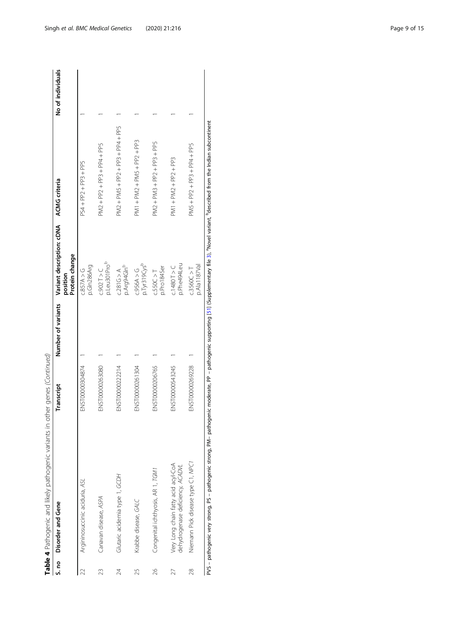|       | Table 4 Pathogenic and likely pathogenic variants in                    | other genes (Continued) |                    |                                                         |                                   |                   |
|-------|-------------------------------------------------------------------------|-------------------------|--------------------|---------------------------------------------------------|-----------------------------------|-------------------|
| S. no | Disorder and Gene                                                       | Transcript              | Number of variants | Variant description: cDNA<br>Protein change<br>position | <b>ACMG</b> criteria              | No of individuals |
|       | Argininosuccinic aciduria, ASL                                          | ENST00000304874         |                    | p.Gln286Arg<br>C.857A > G                               | PS4 + PP2 + PP3 + PP5             |                   |
| 23    | Canavan disease, ASPA                                                   | ENST00000263080         |                    | p.Leu301Pro <sup>b</sup><br>C.902T > C                  | $PM2 + PP2 + PP3 + PP4 + PP5$     |                   |
| 24    | Glutaric acidemia type 1, GCDH                                          | ENST00000222214         |                    | p.Arg94GIn <sup>b</sup><br>C.281G > A                   | PM2 + PM5 + PP2 + PP3 + PP4 + PP5 |                   |
| 25    | Krabbe disease, GALC                                                    | ENST00000261304         |                    | p.Tyr319Cysb<br>C.956A > G                              | PM1 + PM2 + PM5 + PP2 + PP3       |                   |
| 26    | Congenital ichthyosis, AR 1, TGM1                                       | ENST00000206765         |                    | p.Pro184Ser<br>C.550C > T                               | PM2 + PM3 + PP2 + PP3 + PP5       |                   |
| 27    | Very Long chain fatty acid acyl-CoA<br>dehydrogenase deficiency, ACADVL | ENST00000543245         |                    | p.Phe494Leu<br>C.1480T > C                              | PM1 + PM2 + PP2 + PP3             |                   |
| 28    | Niemann Pick disease type C1, NPC1                                      | ENST00000269228         |                    | p.Ala1187Val<br>C.3560C > T                             | PM5 + PP2 + PP3 + PP4 + PP5       |                   |
|       |                                                                         |                         |                    |                                                         |                                   |                   |

PVS – pathogenic very strong, PS – pathogenic strong, PM– pathogenic moderate, PP – pathogenic supporting [51] (Supplementary file 3), <sup>a</sup>Novel variant, <sup>b</sup>described from the Indian subcontinent PVS – pathogenic very strong, PS – pathogenic strong, PM– pathogenic moderate, PP – pathogenic supporting [[51](#page-13-0)] (Supplementary file [3](#page-11-0)), "Novel variant, "described from the Indian subcontinent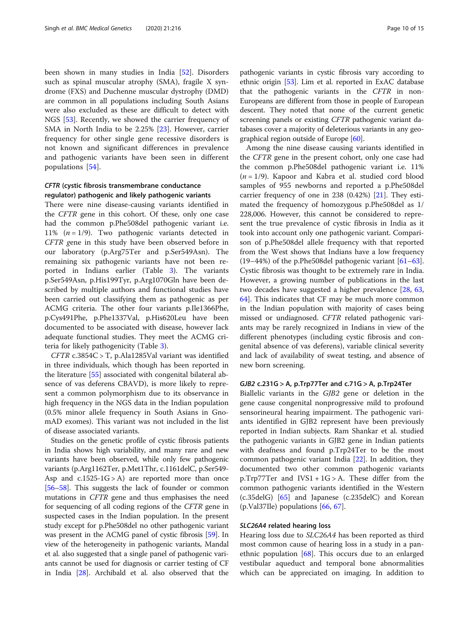been shown in many studies in India [[52](#page-13-0)]. Disorders such as spinal muscular atrophy (SMA), fragile X syndrome (FXS) and Duchenne muscular dystrophy (DMD) are common in all populations including South Asians were also excluded as these are difficult to detect with NGS [\[53](#page-13-0)]. Recently, we showed the carrier frequency of SMA in North India to be 2.25% [\[23](#page-12-0)]. However, carrier frequency for other single gene recessive disorders is not known and significant differences in prevalence and pathogenic variants have been seen in different populations [[54\]](#page-13-0).

# CFTR (cystic fibrosis transmembrane conductance regulator) pathogenic and likely pathogenic variants

There were nine disease-causing variants identified in the CFTR gene in this cohort. Of these, only one case had the common p.Phe508del pathogenic variant i.e. 11% ( $n = 1/9$ ). Two pathogenic variants detected in CFTR gene in this study have been observed before in our laboratory (p.Arg75Ter and p.Ser549Asn). The remaining six pathogenic variants have not been reported in Indians earlier (Table [3](#page-6-0)). The variants p.Ser549Asn, p.His199Tyr, p.Arg1070Gln have been described by multiple authors and functional studies have been carried out classifying them as pathogenic as per ACMG criteria. The other four variants p.Ile1366Phe, p.Cys491Phe, p.Phe1337Val, p.His620Leu have been documented to be associated with disease, however lack adequate functional studies. They meet the ACMG criteria for likely pathogenicity (Table [3\)](#page-6-0).

CFTR c.3854C > T, p.Ala1285Val variant was identified in three individuals, which though has been reported in the literature [[55\]](#page-13-0) associated with congenital bilateral absence of vas deferens CBAVD), is more likely to represent a common polymorphism due to its observance in high frequency in the NGS data in the Indian population (0.5% minor allele frequency in South Asians in GnomAD exomes). This variant was not included in the list of disease associated variants.

Studies on the genetic profile of cystic fibrosis patients in India shows high variability, and many rare and new variants have been observed, while only few pathogenic variants (p.Arg1162Ter, p.Met1Thr, c.1161delC, p.Ser549- Asp and  $c.1525-1G > A$  are reported more than once [[56](#page-13-0)–[58\]](#page-13-0). This suggests the lack of founder or common mutations in CFTR gene and thus emphasises the need for sequencing of all coding regions of the CFTR gene in suspected cases in the Indian population. In the present study except for p.Phe508del no other pathogenic variant was present in the ACMG panel of cystic fibrosis [[59](#page-13-0)]. In view of the heterogeneity in pathogenic variants, Mandal et al. also suggested that a single panel of pathogenic variants cannot be used for diagnosis or carrier testing of CF in India [[28](#page-12-0)]. Archibald et al. also observed that the pathogenic variants in cystic fibrosis vary according to ethnic origin [\[53\]](#page-13-0). Lim et al. reported in ExAC database that the pathogenic variants in the CFTR in non-Europeans are different from those in people of European descent. They noted that none of the current genetic screening panels or existing CFTR pathogenic variant databases cover a majority of deleterious variants in any geographical region outside of Europe [\[60\]](#page-13-0).

Among the nine disease causing variants identified in the CFTR gene in the present cohort, only one case had the common p.Phe508del pathogenic variant i.e. 11%  $(n = 1/9)$ . Kapoor and Kabra et al. studied cord blood samples of 955 newborns and reported a p.Phe508del carrier frequency of one in 238  $(0.42%)$  [[21](#page-12-0)]. They estimated the frequency of homozygous p.Phe508del as 1/ 228,006. However, this cannot be considered to represent the true prevalence of cystic fibrosis in India as it took into account only one pathogenic variant. Comparison of p.Phe508del allele frequency with that reported from the West shows that Indians have a low frequency (19–44%) of the p.Phe508del pathogenic variant  $[61-63]$  $[61-63]$  $[61-63]$  $[61-63]$  $[61-63]$ . Cystic fibrosis was thought to be extremely rare in India. However, a growing number of publications in the last two decades have suggested a higher prevalence [\[28,](#page-12-0) [63](#page-13-0), [64\]](#page-13-0). This indicates that CF may be much more common in the Indian population with majority of cases being missed or undiagnosed. CFTR related pathogenic variants may be rarely recognized in Indians in view of the different phenotypes (including cystic fibrosis and congenital absence of vas deferens), variable clinical severity and lack of availability of sweat testing, and absence of new born screening.

# GJB2 c.231G > A, p.Trp77Ter and c.71G > A, p.Trp24Ter

Biallelic variants in the GJB2 gene or deletion in the gene cause congenital nonprogressive mild to profound sensorineural hearing impairment. The pathogenic variants identified in GJB2 represent have been previously reported in Indian subjects. Ram Shankar et al. studied the pathogenic variants in GJB2 gene in Indian patients with deafness and found p.Trp24Ter to be the most common pathogenic variant India [[22](#page-12-0)]. In addition, they documented two other common pathogenic variants p.Trp77Ter and  $IVS1 + 1G > A$ . These differ from the common pathogenic variants identified in the Western (c.35delG) [[65\]](#page-13-0) and Japanese (c.235delC) and Korean  $(p.Va137$ Ile) populations  $[66, 67]$  $[66, 67]$  $[66, 67]$ .

# SLC26A4 related hearing loss

Hearing loss due to SLC26A4 has been reported as third most common cause of hearing loss in a study in a panethnic population [[68](#page-13-0)]. This occurs due to an enlarged vestibular aqueduct and temporal bone abnormalities which can be appreciated on imaging. In addition to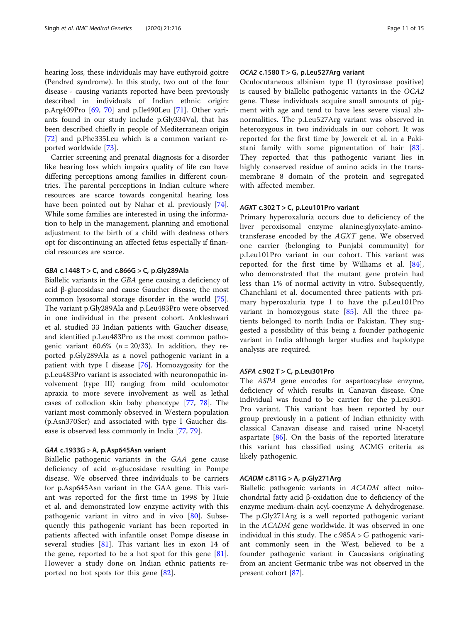hearing loss, these individuals may have euthyroid goitre (Pendred syndrome). In this study, two out of the four disease - causing variants reported have been previously described in individuals of Indian ethnic origin: p.Arg409Pro [[69,](#page-13-0) [70](#page-13-0)] and p.Ile490Leu [[71\]](#page-13-0). Other variants found in our study include p.Gly334Val, that has been described chiefly in people of Mediterranean origin [[72\]](#page-13-0) and p.Phe335Leu which is a common variant reported worldwide [[73\]](#page-13-0).

Carrier screening and prenatal diagnosis for a disorder like hearing loss which impairs quality of life can have differing perceptions among families in different countries. The parental perceptions in Indian culture where resources are scarce towards congenital hearing loss have been pointed out by Nahar et al. previously [\[74](#page-13-0)]. While some families are interested in using the information to help in the management, planning and emotional adjustment to the birth of a child with deafness others opt for discontinuing an affected fetus especially if financial resources are scarce.

## GBA c.1448 T > C, and c.866G > C, p.Gly289Ala

Biallelic variants in the GBA gene causing a deficiency of acid β-glucosidase and cause Gaucher disease, the most common lysosomal storage disorder in the world [\[75](#page-13-0)]. The variant p.Gly289Ala and p.Leu483Pro were observed in one individual in the present cohort. Ankleshwari et al. studied 33 Indian patients with Gaucher disease, and identified p.Leu483Pro as the most common pathogenic variant 60.6% ( $n = 20/33$ ). In addition, they reported p.Gly289Ala as a novel pathogenic variant in a patient with type I disease [\[76](#page-13-0)]. Homozygosity for the p.Leu483Pro variant is associated with neuronopathic involvement (type III) ranging from mild oculomotor apraxia to more severe involvement as well as lethal cases of collodion skin baby phenotype [[77](#page-13-0), [78\]](#page-13-0). The variant most commonly observed in Western population (p.Asn370Ser) and associated with type I Gaucher disease is observed less commonly in India [[77](#page-13-0), [79](#page-13-0)].

# GAA c.1933G > A, p.Asp645Asn variant

Biallelic pathogenic variants in the GAA gene cause deficiency of acid α-glucosidase resulting in Pompe disease. We observed three individuals to be carriers for p.Asp645Asn variant in the GAA gene. This variant was reported for the first time in 1998 by Huie et al. and demonstrated low enzyme activity with this pathogenic variant in vitro and in vivo [[80\]](#page-13-0). Subsequently this pathogenic variant has been reported in patients affected with infantile onset Pompe disease in several studies [\[81](#page-13-0)]. This variant lies in exon 14 of the gene, reported to be a hot spot for this gene [\[81](#page-13-0)]. However a study done on Indian ethnic patients reported no hot spots for this gene [\[82](#page-13-0)].

### OCA2 c.1580 T > G, p.Leu527Arg variant

Oculocutaneous albinism type II (tyrosinase positive) is caused by biallelic pathogenic variants in the OCA2 gene. These individuals acquire small amounts of pigment with age and tend to have less severe visual abnormalities. The p.Leu527Arg variant was observed in heterozygous in two individuals in our cohort. It was reported for the first time by Jowerek et al. in a Pakistani family with some pigmentation of hair [\[83](#page-13-0)]. They reported that this pathogenic variant lies in highly conserved residue of amino acids in the transmembrane 8 domain of the protein and segregated with affected member.

#### AGXT c.302 T > C, p.Leu101Pro variant

Primary hyperoxaluria occurs due to deficiency of the liver peroxisomal enzyme alanine:glyoxylate-aminotransferase encoded by the AGXT gene. We observed one carrier (belonging to Punjabi community) for p.Leu101Pro variant in our cohort. This variant was reported for the first time by Williams et al. [\[84](#page-13-0)], who demonstrated that the mutant gene protein had less than 1% of normal activity in vitro. Subsequently, Chanchlani et al. documented three patients with primary hyperoxaluria type 1 to have the p.Leu101Pro variant in homozygous state [[85\]](#page-13-0). All the three patients belonged to north India or Pakistan. They suggested a possibility of this being a founder pathogenic variant in India although larger studies and haplotype analysis are required.

#### ASPA c.902 T > C, p.Leu301Pro

The ASPA gene encodes for aspartoacylase enzyme, deficiency of which results in Canavan disease. One individual was found to be carrier for the p.Leu301- Pro variant. This variant has been reported by our group previously in a patient of Indian ethnicity with classical Canavan disease and raised urine N-acetyl aspartate [[86\]](#page-13-0). On the basis of the reported literature this variant has classified using ACMG criteria as likely pathogenic.

#### ACADM c.811G > A, p.Gly271Arg

Biallelic pathogenic variants in ACADM affect mitochondrial fatty acid β-oxidation due to deficiency of the enzyme medium-chain acyl-coenzyme A dehydrogenase. The p.Gly271Arg is a well reported pathogenic variant in the ACADM gene worldwide. It was observed in one individual in this study. The c.985A > G pathogenic variant commonly seen in the West, believed to be a founder pathogenic variant in Caucasians originating from an ancient Germanic tribe was not observed in the present cohort [[87](#page-14-0)].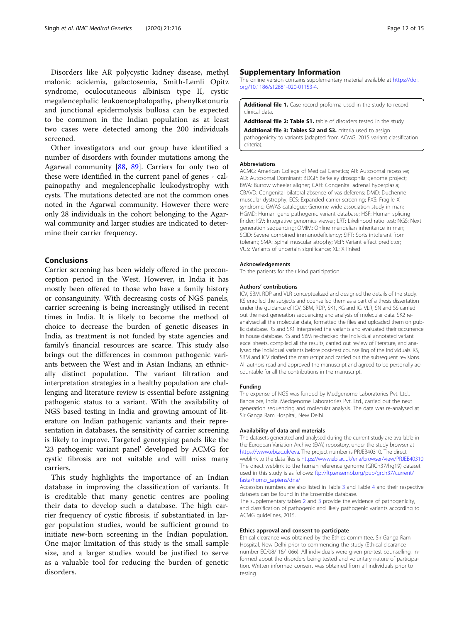<span id="page-11-0"></span>Disorders like AR polycystic kidney disease, methyl malonic acidemia, galactosemia, Smith-Lemli Opitz syndrome, oculocutaneous albinism type II, cystic megalencephalic leukoencephalopathy, phenylketonuria and junctional epidermolysis bullosa can be expected to be common in the Indian population as at least two cases were detected among the 200 individuals screened.

Other investigators and our group have identified a number of disorders with founder mutations among the Agarwal community [[88,](#page-14-0) [89](#page-14-0)]. Carriers for only two of these were identified in the current panel of genes - calpainopathy and megalencephalic leukodystrophy with cysts. The mutations detected are not the common ones noted in the Agarwal community. However there were only 28 individuals in the cohort belonging to the Agarwal community and larger studies are indicated to determine their carrier frequency.

# Conclusions

Carrier screening has been widely offered in the preconception period in the West. However, in India it has mostly been offered to those who have a family history or consanguinity. With decreasing costs of NGS panels, carrier screening is being increasingly utilised in recent times in India. It is likely to become the method of choice to decrease the burden of genetic diseases in India, as treatment is not funded by state agencies and family's financial resources are scarce. This study also brings out the differences in common pathogenic variants between the West and in Asian Indians, an ethnically distinct population. The variant filtration and interpretation strategies in a healthy population are challenging and literature review is essential before assigning pathogenic status to a variant. With the availability of NGS based testing in India and growing amount of literature on Indian pathogenic variants and their representation in databases, the sensitivity of carrier screening is likely to improve. Targeted genotyping panels like the '23 pathogenic variant panel' developed by ACMG for cystic fibrosis are not suitable and will miss many carriers.

This study highlights the importance of an Indian database in improving the classification of variants. It is creditable that many genetic centres are pooling their data to develop such a database. The high carrier frequency of cystic fibrosis, if substantiated in larger population studies, would be sufficient ground to initiate new-born screening in the Indian population. One major limitation of this study is the small sample size, and a larger studies would be justified to serve as a valuable tool for reducing the burden of genetic disorders.

### Supplementary Information

The online version contains supplementary material available at [https://doi.](https://doi.org/10.1186/s12881-020-01153-4) [org/10.1186/s12881-020-01153-4.](https://doi.org/10.1186/s12881-020-01153-4)

Additional file 1. Case record proforma used in the study to record clinical data.

Additional file 2: Table S1. table of disorders tested in the study.

Additional file 3: Tables S2 and S3. criteria used to assign pathogenicity to variants (adapted from ACMG, 2015 variant classification criteria).

#### Abbreviations

ACMG: American College of Medical Genetics; AR: Autosomal recessive; AD: Autosomal Dominant; BDGP: Berkeley drosophila genome project; BWA: Burrow wheeler aligner; CAH: Congenital adrenal hyperplasia; CBAVD: Congenital bilateral absence of vas deferens; DMD: Duchenne muscular dystrophy; ECS: Expanded carrier screening; FXS: Fragile X syndrome; GWAS catalogue: Genome wide association study in man; HGMD: Human gene pathogenic variant database; HSF: Human splicing finder; IGV: Integrative genomics viewer; LRT: Likelihood ratio test; NGS: Next generation sequencing; OMIM: Online mendelian inheritance in man; SCID: Severe combined immunodeficiency; SIFT: Sorts intolerant from tolerant; SMA: Spinal muscular atrophy; VEP: Variant effect predictor; VUS: Variants of uncertain significance; XL: X linked

#### Acknowledgements

To the patients for their kind participation.

#### Authors' contributions

ICV, SBM, RDP and VLR conceptualized and designed the details of the study. KS enrolled the subjects and counselled them as a part of a thesis dissertation under the guidance of ICV, SBM, RDP, SK1, KG and IG. VLR, SN and SS carried out the next generation sequencing and analysis of molecular data. SK2 reanalysed all the molecular data, formatted the files and uploaded them on public database. RS and SK1 interpreted the variants and evaluated their occurrence in house database. KS and SBM re-checked the individual annotated variant excel sheets, compiled all the results, carried out review of literature, and analysed the individual variants before post-test counselling of the individuals. KS, SBM and ICV drafted the manuscript and carried out the subsequent revisions. All authors read and approved the manuscript and agreed to be personally accountable for all the contributions in the manuscript.

#### Funding

The expense of NGS was funded by Medgenome Laboratories Pvt. Ltd., Bangalore, India. Medgenome Laboratories Pvt. Ltd., carried out the next generation sequencing and molecular analysis. The data was re-analysed at Sir Ganga Ram Hospital, New Delhi.

#### Availability of data and materials

The datasets generated and analysed during the current study are available in the European Variation Archive (EVA) repository, under the study browser at [https://www.ebi.ac.uk/eva.](https://www.ebi.ac.uk/eva) The project number is PRJEB40310. The direct weblink to the data files is <https://www.ebi.ac.uk/ena/browser/view/PRJEB40310> The direct weblink to the human reference genome (GRCh37/hg19) dataset used in this study is as follows: [ftp://ftp.ensembl.org/pub/grch37/current/](ftp://ftp.ensembl.org/pub/grch37/current/fasta/homo_sapiens/dna/) [fasta/homo\\_sapiens/dna/](ftp://ftp.ensembl.org/pub/grch37/current/fasta/homo_sapiens/dna/)

Accession numbers are also listed in Table [3](#page-6-0) and Table [4](#page-7-0) and their respective datasets can be found in the Ensemble database.

The supplementary tables 2 and 3 provide the evidence of pathogenicity, and classification of pathogenic and likely pathogenic variants according to ACMG guidelines, 2015.

# Ethics approval and consent to participate

Ethical clearance was obtained by the Ethics committee, Sir Ganga Ram Hospital, New Delhi prior to commencing the study (Ethical clearance number EC/08/ 16/1066). All individuals were given pre-test counselling, informed about the disorders being tested and voluntary nature of participation. Written informed consent was obtained from all individuals prior to testing.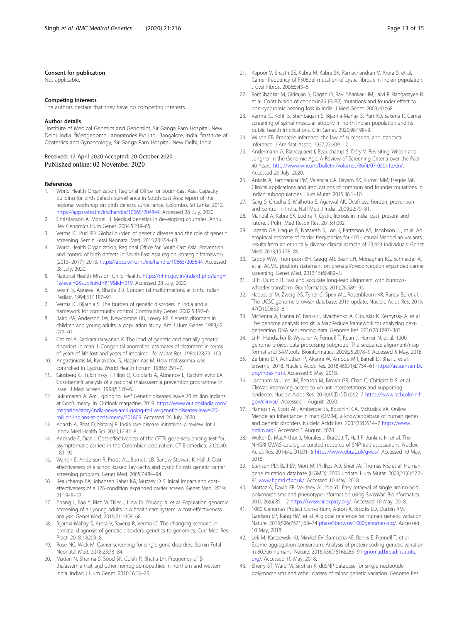#### <span id="page-12-0"></span>Consent for publication

Not applicable.

#### Competing interests

The authors declare that they have no competing interests.

#### Author details

<sup>1</sup>Institute of Medical Genetics and Genomics, Sir Ganga Ram Hospital, New Delhi, India. <sup>2</sup>Medgenome Laboratories Pvt Ltd., Bangalore, India. <sup>3</sup>Institute of Obstetrics and Gynaecology, Sir Ganga Ram Hospital, New Delhi, India.

#### Received: 17 April 2020 Accepted: 20 October 2020 Published online: 02 November 2020

#### References

- 1. World Health Organization, Regional Office for South-East Asia. Capacity building for birth defects surveillance in South-East Asia: report of the regional workshop on birth defects surveillance, Colombo, Sri Lanka; 2012. [https://apps.who.int/iris/handle/10665/204844.](https://apps.who.int/iris/handle/10665/204844) Accessed 28 July, 2020.
- 2. Christianson A, Modell B. Medical genetics in developing countries. Annu Rev Genomics Hum Genet. 2004;5:219–65.
- 3. Verma IC, Puri RD. Global burden of genetic disease and the role of genetic screening. Semin Fetal Neonatal Med. 2015;20:354–63.
- 4. World Health Organization, Regional Office for South-East Asia. Prevention and control of birth defects in South-East Asia region: strategic framework (2013–2017); 2013. [https://apps.who.int/iris/handle/10665/205644.](https://apps.who.int/iris/handle/10665/205644) Accessed 28 July, 2020.
- 5. National Health Mission: Child Health. [https://nhm.gov.in/index1.php?lang=](https://nhm.gov.in/index1.php?lang=1&level=2&sublinkid=819&lid=219) [1&level=2&sublinkid=819&lid=219](https://nhm.gov.in/index1.php?lang=1&level=2&sublinkid=819&lid=219). Accessed 28 July, 2020.
- 6. Swain S, Agrawal A, Bhatia BD. Congenital malformations at birth. Indian Pediatr. 1994;31:1187–91.
- 7. Verma IC, Bijarnia S. The burden of genetic disorders in India and a framework for community control. Community Genet. 2002;5:192–6.
- Baird PA, Anderson TW, Newcombe HB, Lowry RB. Genetic disorders in children and young adults: a population study. Am J Hum Genet. 1988;42: 677–93.
- 9. Czeizel A, Sankaranarayanan K. The load of genetic and partially genetic disorders in man. I. Congenital anomalies: estimates of detriment in terms of years of life lost and years of impaired life. Mutat Res. 1984;128:73–103.
- Angastiniotis M, Kyriakidou S, Hadjiminas M. How thalassemia was controlled in Cyprus. World Health Forum. 1986;7:291–7.
- 11. Ginsberg G, Tulchinsky T, Filon D, Goldfarb A, Abramov L, Rachmilevitz EA. Cost-benefit analysis of a national thalassaemia prevention programme in Israel. J Med Screen. 1998;5:120–6.
- 12. Sukumaran A. Am I going to live? Genetic diseases leave 70 million Indians at God's mercy. In: Outlook magazine; 2019. [https://www.outlookindia.com/](https://www.outlookindia.com/magazine/story/india-news-am-i-going-to-live-genetic-diseases-leave-70-million-indians-at-gods-mercy/301809) [magazine/story/india-news-am-i-going-to-live-genetic-diseases-leave-70](https://www.outlookindia.com/magazine/story/india-news-am-i-going-to-live-genetic-diseases-leave-70-million-indians-at-gods-mercy/301809) [million-indians-at-gods-mercy/301809](https://www.outlookindia.com/magazine/story/india-news-am-i-going-to-live-genetic-diseases-leave-70-million-indians-at-gods-mercy/301809). Accessed 26 July, 2020.
- 13. Adarsh A, Bhat D, Nataraj R. India rare disease initiatives-a review. Int J Innov Med Health Sci. 2020;12:82–8.
- 14. Andrade E, Díaz J. Cost-effectiveness of the CFTR gene-sequencing test for asymptomatic carriers in the Colombian population. CF Biomedica. 2020;40: 183–95.
- 15. Warren E, Anderson R, Proos AL, Burnett LB, Barlow-Stewart K, Hall J. Costeffectiveness of a school-based Tay-Sachs and cystic fibrosis genetic carrier screening program. Genet Med. 2005;7:484–94.
- 16. Beauchamp KA, Johansen Taber KA, Muzzey D. Clinical impact and costeffectiveness of a 176-condition expanded carrier screen. Genet Med. 2019; 21:1948–57.
- 17. Zhang L, Bao Y, Riaz M, Tiller J, Liew D, Zhuang X, et al. Population genomic screening of all young adults in a health-care system: a cost-effectiveness analysis. Genet Med. 2019;21:1958–68.
- 18. Bijarnia-Mahay S, Arora V, Saxena R, Verma IC. The changing scenario in prenatal diagnosis of genetic disorders: genetics to genomics. Curr Med Res Pract. 2018;1:8203–8.
- 19. Rose NC, Wick M. Carrier screening for single gene disorders. Semin Fetal Neonatal Med. 2018;23:78–84.
- 20. Madan N, Sharma S, Sood SK, Colah R, Bhatia LH. Frequency of βthalassemia trait and other hemoglobinopathies in northern and western India. Indian J Hum Genet. 2010;16:16–25.
- 21. Kapoor V, Shastri SS, Kabra M, Kabra SK, Ramachandran V, Arora S, et al. Carrier frequency of F508del mutation of cystic fibrosis in Indian population. J Cyst Fibros. 2006;5:43–6.
- 22. RamShankar M, Girirajan S, Dagan O, Ravi Shankar HM, Jalvi R, Rangasayee R, et al. Contribution of connexin26 (GJB2) mutations and founder effect to non-syndromic hearing loss in India. J Med Genet. 2003;40:e68.
- 23. Verma IC, Kohli S, Shenbagam S, Bijarnia-Mahay S, Puri RD, Saxena R. Carrier screening of spinal muscular atrophy in north Indian population and its public health implications. Clin Genet. 2020;98:198–9.
- 24. Wilson EB. Probable inference, the law of succession, and statistical inference. J Am Stat Assoc. 1927;22:209–12.
- 25. Andermann A, Blancquaert I, Beauchamp S, Déry V. Revisiting Wilson and Jungner in the Genomic Age: A Review of Screening Criteria over the Past 40 Years. [http://www.who.int/bulletin/volumes/86/4/07-050112/en/.](http://www.who.int/bulletin/volumes/86/4/07-050112/en/) Accessed 29 July, 2020.
- 26. Ankala A, Tamhankar PM, Valencia CA, Rayam KK, Kumar MM, Hegde MR. Clinical applications and implications of common and founder mutations in Indian subpopulations. Hum Mutat. 2015;36:1–10.
- 27. Garg S, Chadha S, Malhotra S, Agarwal AK. Deafness: burden, prevention and control in India. Natl Med J India. 2009;22:79–81.
- 28. Mandal A, Kabra SK, Lodha R. Cystic fibrosis in India: past, present and future. J Pulm Med Respir Res. 2015;1:002.
- 29. Lazarin GA, Haque IS, Nazareth S, Lori K, Patterson AS, Jacobson JL, et al. An empirical estimate of carrier frequencies for 400+ causal Mendelian variants: results from an ethnically diverse clinical sample of 23,453 individuals. Genet Med. 2013;15:178–86.
- 30. Grody WW, Thompson BH, Gregg AR, Bean LH, Monaghan KG, Schneider A, et al. ACMG position statement on prenatal/preconception expanded carrier screening. Genet Med. 2013;15(6):482–3.
- 31. Li H, Durbin R. Fast and accurate long-read alignment with burrowswheeler transform. Bioinformatics. 2010;26:589–95.
- 32. Haeussler M, Zweig AS, Tyner C, Speir ML, Rosenbloom KR, Raney BJ, et al. The UCSC genome browser database: 2019 update. Nucleic Acids Res. 2019; 47(D1):D853–8.
- 33. McKenna A, Hanna M, Banks E, Sivachenko A, Cibulskis K, Kernytsky A, et al. The genome analysis toolkit: a MapReduce framework for analyzing nextgeneration DNA sequencing data. Genome Res. 2010;20:1297–303.
- 34. Li H, Handsaker B, Wysoker A, Fennell T, Ruan J, Homer N, et al. 1000 genome project data processing subgroup. The sequence alignment/map format and SAMtools. Bioinformatics. 2009;25:2078–9 Accessed 5 May, 2018.
- 35. Zerbino DR, Achuthan P, Akanni W, Amode MR, Barrell D, Bhai J, et al. Ensembl 2018. Nucleic Acids Res. 2018;46(D1):D754–61 [https://asia.ensembl.](https://asia.ensembl.org/index.html) [org/index.html.](https://asia.ensembl.org/index.html) Accessed 5 May, 2018.
- 36. Landrum MJ, Lee JM, Benson M, Brown GR, Chao C, Chitipiralla S, et al. ClinVar: improving access to variant interpretations and supporting evidence. Nucleic Acids Res. 2018;46(D1):D1062–7 [https://www.ncbi.nlm.nih.](https://www.ncbi.nlm.nih.gov/clinvar/) [gov/clinvar/.](https://www.ncbi.nlm.nih.gov/clinvar/) Accessed 1 August, 2020.
- 37. Hamosh A, Scott AF, Amberger JS, Bocchini CA, McKusick VA. Online Mendelian inheritance in man (OMIM), a knowledgebase of human genes and genetic disorders. Nucleic Acids Res. 2005;33:D514–7 [https://www.](https://www.omim.org/) [omim.org/.](https://www.omim.org/) Accessed 1 August, 2020.
- 38. Welter D, MacArthur J, Morales J, Burdett T, Hall P, Junkins H, et al. The NHGRI GWAS catalog, a curated resource of SNP-trait associations. Nucleic Acids Res. 2014;42:D1001–6 <https://www.ebi.ac.uk/gwas/>. Accessed 10 May, 2018.
- 39. Stenson PD, Ball EV, Mort M, Phillips AD, Shiel JA, Thomas NS, et al. Human gene mutation database (HGMD): 2003 update. Hum Mutat. 2003;21(6):577– 81 [www.hgmd.cf.ac.uk/](http://www.hgmd.cf.ac.uk/). Accessed 10 May, 2018.
- 40. Mottaz A, David FP, Veuthey AL, Yip YL. Easy retrieval of single amino-acid polymorphisms and phenotype information using SwissVar. Bioinformatics. 2010;26(6):851–2 <https://swissvar.expasy.org/>. Accessed 10 May, 2018.
- 41. 1000 Genomes Project Consortium, Auton A, Brooks LD, Durbin RM, Garrison EP, Kang HM, et al. A global reference for human genetic variation. Nature. 2015;526(7571):68–74 [phase3browser.1000genomes.org/](http://phase3browser.1000genomes.org). Accessed 10 May, 2018.
- 42. Lek M, Karczewski KJ, Minikel EV, Samocha KE, Banks E, Fennell T, et al. Exome aggregation consortium. Analysis of protein-coding genetic variation in 60,706 humans. Nature. 2016;536(7616):285–91 [gnomad.broadinstitute.](http://gnomad.broadinstitute.org) [org](http://gnomad.broadinstitute.org)/. Accessed 10 May, 2018.
- 43. Sherry ST, Ward M, Sirotkin K. dbSNP-database for single nucleotide polymorphisms and other classes of minor genetic variation. Genome Res.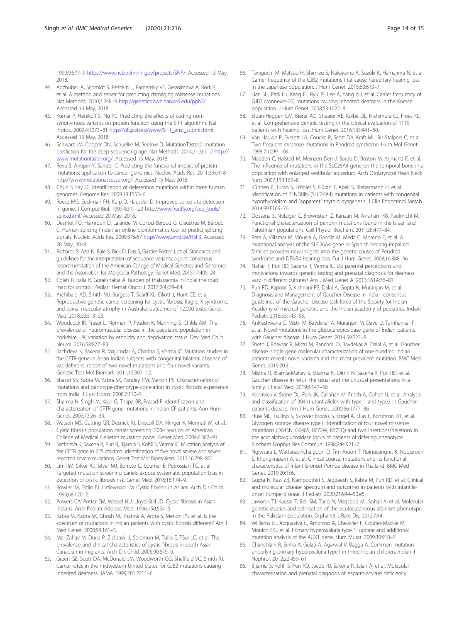<span id="page-13-0"></span>1999;9:677–9 [https://www.ncbi.nlm.nih.gov/projects/SNP/.](https://www.ncbi.nlm.nih.gov/projects/SNP/) Accessed 13 May, 2018.

- 44. Adzhubei IA, Schmidt S, Peshkin L, Ramensky VE, Gerasimova A, Bork P, et al. A method and server for predicting damaging missense mutations. Nat Methods. 2010;7:248–9 <http://genetics.bwh.harvard.edu/pph2/>. Accessed 13 May, 2018.
- 45. Kumar P, Henikoff S, Ng PC. Predicting the effects of coding nonsynonymous variants on protein function using the SIFT algorithm. Nat Protoc. 2009;4:1073–81 [http://sift.jcvi.org/www/SIFT\\_enst\\_submit.html](http://sift.jcvi.org/www/SIFT_enst_submit.html). Accessed 13 May, 2018.
- 46. Schwarz JM, Cooper DN, Schuelke M, Seelow D. MutationTaster2: mutation prediction for the deep-sequencing age. Nat Methods. 2014;11:361–2 [http://](http://www.mutationtaster.org/) [www.mutationtaster.org/](http://www.mutationtaster.org/). Accessed 15 May, 2018.
- 47. Reva B, Antipin Y, Sander C. Predicting the functional impact of protein mutations: application to cancer genomics. Nucleic Acids Res. 2011;39:e118 <http://www.mutationassessor.org/>. Accessed 15 May, 2018.
- 48. Chun S, Fay JC. Identification of deleterious mutations within three human genomes. Genome Res. 2009;19:1553–6.
- 49. Reese MG, Eeckman FH, Kulp D, Haussler D. Improved splice site detection in genie. J Comput Biol. 1997;4:311–23 http:/[/www.fruitfly.org/seq\\_tools/](http://www.fruitfly.org/seq_tools/splice.html) [splice.html](http://www.fruitfly.org/seq_tools/splice.html). Accessed 20 May, 2018.
- 50. Desmet FO, Hamroun D, Lalande M, Collod-Béroud G, Claustres M, Béroud C. Human splicing finder: an online bioinformatics tool to predict splicing signals. Nucleic Acids Res. 2009;37:e67 [http://www.umd.be/HSF3.](http://www.umd.be/HSF3) Accessed 20 May, 2018.
- 51. Richards S, Aziz N, Bale S, Bick D, Das S, Gastier-Foster J, et al. Standards and guidelines for the interpretation of sequence variants: a joint consensus recommendation of the American College of Medical Genetics and Genomics and the Association for Molecular Pathology. Genet Med. 2015;17:405–24.
- 52. Colah R, Italia K, Gorakshakar A. Burden of thalassemia in India: the road map for control. Pediatr Hemat Oncol J. 2017;2(4):79–84.
- 53. Archibald AD, Smith MJ, Burgess T, Scarff KL, Elliott J, Hunt CE, et al. Reproductive genetic carrier screening for cystic fibrosis, fragile X syndrome, and spinal muscular atrophy in Australia: outcomes of 12,000 tests. Genet Med. 2018;20:513–23.
- 54. Woodcock IR, Fraser L, Norman P, Pysden K, Manning S, Childs AM. The prevalence of neuromuscular disease in the paediatric population in Yorkshire, UK; variation by ethnicity and deprivation status. Dev Med Child Neurol. 2016;58:877–83.
- 55. Sachdeva K, Saxena R, Majumdar A, Chadha S, Verma IC. Mutation studies in the CFTR gene in Asian Indian subjects with congenital bilateral absence of vas deferens: report of two novel mutations and four novel variants. Genetic Test Mol Biomark. 2011;15:307–12.
- 56. Shastri SS, Kabra M, Kabra SK, Pandey RM, Menon PS. Characterisation of mutations and genotype-phenotype correlation in cystic fibrosis: experience from India. J Cyst Fibros. 2008;7:110–5.
- 57. Sharma N, Singh M, Kaur G, Thapa BR, Prasad R. Identification and characterization of CFTR gene mutations in Indian CF patients. Ann Hum Genet. 2009;73:26–33.
- 58. Watson MS, Cutting GR, Desnick RJ, Driscoll DA, Klinger K, Mennuti M, et al. Cystic fibrosis population carrier screening: 2004 revision of American College of Medical Genetics mutation panel. Genet Med. 2004;6:387–91.
- 59. Sachdeva K, Saxena R, Puri R, Bijarnia S, Kohli S, Verma IC. Mutation analysis of the CFTR gene in 225 children: identification of five novel severe and seven reported severe mutations. Genet Test Mol Biomarkers. 2012;16:798–801.
- 60. Lim RM, Silver AJ, Silver MJ, Borroto C, Spurrier B, Petrossian TC, et al. Targeted mutation screening panels expose systematic population bias in detection of cystic fibrosis risk. Genet Med. 2016;18:174–9.
- 61. Bowler IM, Estlin EJ, Littlewood JM. Cystic fibrosis in Asians. Arch Dis Child. 1993;68:120–2.
- Powers CA, Potter EM, Wessel HU, Lloyd-Still JD. Cystic fibrosis in Asian Indians. Arch Pediatr Adolesc Med. 1996;150:554–5.
- 63. Kabra M, Kabra SK, Ghosh M, Khanna A, Arora S, Menon PS, et al. Is the spectrum of mutations in Indian patients with cystic fibrosis different? Am J Med Genet. 2000;93:161–3.
- 64. Mei-Zahav M, Durie P, Zielenski J, Solomon M, Tullis E, TSui LC, et al. The prevalence and clinical characteristics of cystic fibrosis in south Asian Canadian immigrants. Arch Dis Child. 2005;90:675–9.
- 65. Green GE, Scott DA, McDonald JM, Woodworth GG, Sheffield VC, Smith RJ. Carrier rates in the midwestern United States for GJB2 mutations causing inherited deafness. JAMA. 1999;281:2211–6.
- 66. Taniguchi M, Matsuo H, Shimizu S, Nakayama A, Suzuki K, Hamajima N, et al. Carrier frequency of the GJB2 mutations that cause hereditary hearing loss in the Japanese population. J Hum Genet. 2015;60:613–7.
- 67. Han SH, Park HJ, Kang EJ, Ryu JS, Lee A, Yang YH, et al. Carrier frequency of GJB2 (connexin-26) mutations causing inherited deafness in the Korean population. J Hum Genet. 2008;53:1022–8.
- Sloan-Heggen CM, Bierer AO, Shearer AE, Kolbe DL, Nishimura CJ, Frees KL, et al. Comprehensive genetic testing in the clinical evaluation of 1119 patients with hearing loss. Hum Genet. 2016;135:441–50.
- 69. Van Hauwe P, Everett LA, Coucke P, Scott DA, Kraft ML, Ris-Stalpers C, et al. Two frequent missense mutations in Pendred syndrome. Hum Mol Genet. 1998;7:1099–104.
- 70. Madden C, Halsted M, Meinzen-Derr J, Bardo D, Boston M, Arjmand E, et al. The influence of mutations in the SLC26A4 gene on the temporal bone in a population with enlarged vestibular aqueduct. Arch Otolaryngol Head Neck Surg. 2007;133:162–8.
- 71. Kühnen P, Turan S, Fröhler S, Güran T, Abali S, Biebermann H, et al. Identification of PENDRIN (SLC26A4) mutations in patients with congenital hypothyroidism and "apparent" thyroid dysgenesis. J Clin Endocrinol Metab. 2014;99:E169–76.
- 72. Dossena S, Nofziger C, Brownstein Z, Kanaan M, Avraham KB, Paulmichl M. Functional characterization of pendrin mutations found in the Israeli and Palestinian populations. Cell Physiol Biochem. 2011;28:477–84.
- 73. Pera A, Villamar M, Viñuela A, Gandía M, Medà C, Moreno F, et al. A mutational analysis of the SLC26A4 gene in Spanish hearing-impaired families provides new insights into the genetic causes of Pendred syndrome and DFNB4 hearing loss. Eur J Hum Genet. 2008;16:888–96.
- 74. Nahar R, Puri RD, Saxena R, Verma IC. Do parental perceptions and motivations towards genetic testing and prenatal diagnosis for deafness vary in different cultures? Am J Med Genet A. 2013;161A:76–81.
- 75. Puri RD, Kapoor S, Kishnani PS, Dalal A, Gupta N, Muranjan M, et al. Diagnosis and Management of Gaucher Disease in India - consensus guidelines of the Gaucher disease task force of the Society for Indian Academy of medical genetics and the Indian academy of pediatrics. Indian Pediatr. 2018;55:143-53.
- 76. Ankleshwaria C, Mistri M, Bavdekar A, Muranjan M, Dave U, Tamhankar P, et al. Novel mutations in the glucocerebrosidase gene of Indian patients with Gaucher disease. J Hum Genet. 2014;59:223–8.
- 77. Sheth J, Bhavsar R, Mistri M, Pancholi D, Bavdekar A, Dalal A, et al. Gaucher disease: single gene molecular characterization of one-hundred Indian patients reveals novel variants and the most prevalent mutation. BMC Med Genet. 2019;20:31.
- 78. Mishra R, Bijarnia-Mahay S, Sharma N, Dimri N, Saxena R, Puri RD, et al. Gaucher disease in fetus: the usual and the unusual presentations in a family. J Fetal Med. 2019;6:147–50.
- 79. Koprivica V, Stone DL, Park JK, Callahan M, Frisch A, Cohen IJ, et al. Analysis and classification of 304 mutant alleles with type 1 and type3 in Gaucher patients disease. Am J Hum Genet. 2000;66:1777–86.
- 80. Huie ML, Tsujino S, Sklower Brooks S, Engel A, Elias E, Bonthron DT, et al. Glycogen storage disease type II: identification of four novel missense mutations (D645N, G648S, R672W, R672Q) and two insertions/deletions in the acid alpha-glucosidase locus of patients of differing phenotype. Biochem Biophys Res Commun. 1998;244:921–7.
- 81. Ngiwsara L, Wattanasirichaigoon D, Tim-Aroon T, Rojnueangnit K, Noojaroen S, Khongkraparn A, et al. Clinical course, mutations and its functional characteristics of infantile-onset Pompe disease in Thailand. BMC Med Genet. 2019;20:156.
- 82. Gupta N, Kazi ZB, Nampoothiri S, Jagdeesh S, Kabra M, Puri RD, et al. Clinical and molecular disease Spectrum and outcomes in patients with infantileonset Pompe disease. J Pediatr. 2020;216:44–50.e5.
- 83. Jaworek TJ, Kausar T, Bell SM, Tariq N, Maqsood MI, Sohail A, et al. Molecular genetic studies and delineation of the oculocutaneous albinism phenotype in the Pakistani population. Orphanet J Rare Dis. 2012;7:44.
- 84. Williams EL, Acquaviva C, Amoroso A, Chevalier F, Coulter-Mackie M, Monico CG, et al. Primary hyperoxaluria type 1: update and additional mutation analysis of the AGXT gene. Hum Mutat. 2009;30:910–7.
- 85. Chanchlani R, Sinha A, Gulati A, Agarwal V, Bagga A. Common mutation underlying primary hyperoxaluria type1 in three Indian children. Indian J Nephrol. 2012;22:459–61.
- 86. Bijarnia S, Kohli S, Puri RD, Jacob RJ, Saxena R, Jalan A, et al. Molecular characterisation and prenatal diagnosis of Asparto-acylase deficiency